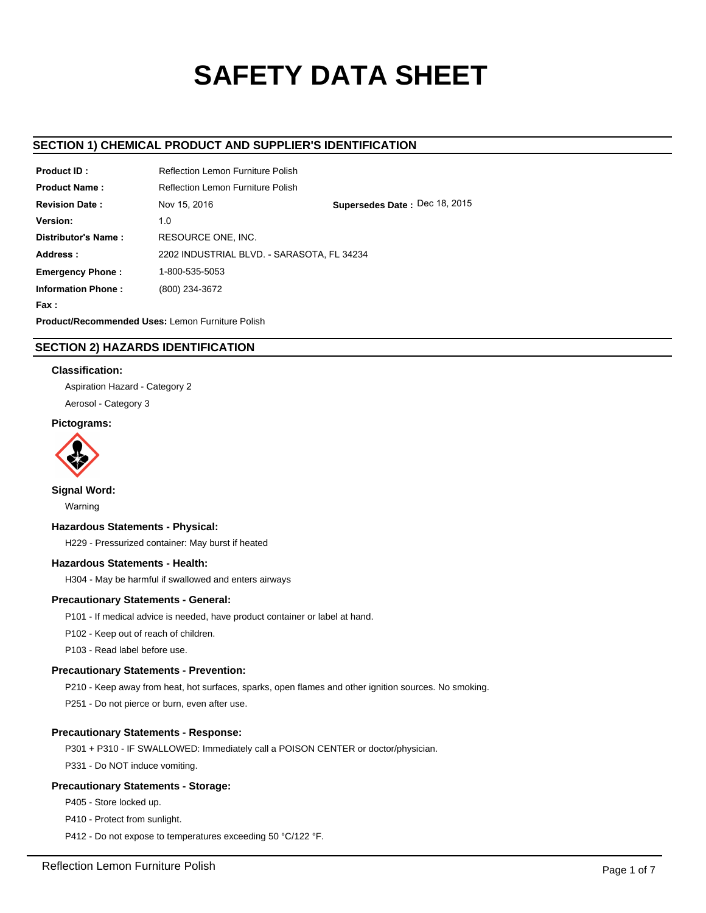# **SAFETY DATA SHEET**

## **SECTION 1) CHEMICAL PRODUCT AND SUPPLIER'S IDENTIFICATION**

| <b>Product ID:</b>                                      | Reflection Lemon Furniture Polish          |                               |  |  |  |
|---------------------------------------------------------|--------------------------------------------|-------------------------------|--|--|--|
| <b>Product Name:</b>                                    | <b>Reflection Lemon Furniture Polish</b>   |                               |  |  |  |
| <b>Revision Date:</b>                                   | Nov 15, 2016                               | Supersedes Date: Dec 18, 2015 |  |  |  |
| Version:                                                | 1.0                                        |                               |  |  |  |
| Distributor's Name:                                     | RESOURCE ONE. INC.                         |                               |  |  |  |
| Address:                                                | 2202 INDUSTRIAL BLVD. - SARASOTA, FL 34234 |                               |  |  |  |
| <b>Emergency Phone:</b>                                 | 1-800-535-5053                             |                               |  |  |  |
| <b>Information Phone:</b>                               | (800) 234-3672                             |                               |  |  |  |
| Fax:                                                    |                                            |                               |  |  |  |
| <b>Product/Recommended Uses: Lemon Furniture Polish</b> |                                            |                               |  |  |  |

## **SECTION 2) HAZARDS IDENTIFICATION**

## **Classification:**

Aspiration Hazard - Category 2

Aerosol - Category 3

## **Pictograms:**



**Signal Word:**

Warning

## **Hazardous Statements - Physical:**

H229 - Pressurized container: May burst if heated

## **Hazardous Statements - Health:**

H304 - May be harmful if swallowed and enters airways

## **Precautionary Statements - General:**

P101 - If medical advice is needed, have product container or label at hand.

P102 - Keep out of reach of children.

P103 - Read label before use.

## **Precautionary Statements - Prevention:**

P210 - Keep away from heat, hot surfaces, sparks, open flames and other ignition sources. No smoking.

P251 - Do not pierce or burn, even after use.

## **Precautionary Statements - Response:**

P301 + P310 - IF SWALLOWED: Immediately call a POISON CENTER or doctor/physician.

P331 - Do NOT induce vomiting.

## **Precautionary Statements - Storage:**

P405 - Store locked up.

P410 - Protect from sunlight.

P412 - Do not expose to temperatures exceeding 50 °C/122 °F.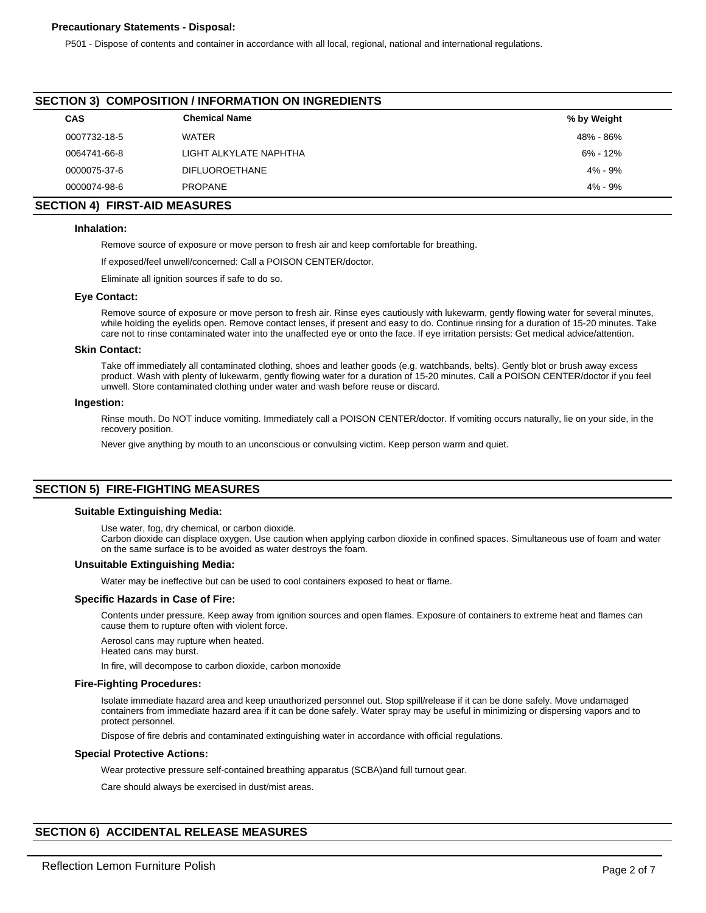## **Precautionary Statements - Disposal:**

P501 - Dispose of contents and container in accordance with all local, regional, national and international regulations.

## **SECTION 3) COMPOSITION / INFORMATION ON INGREDIENTS**

| <b>CAS</b>   | <b>Chemical Name</b>   | % by Weight  |  |
|--------------|------------------------|--------------|--|
| 0007732-18-5 | WATER                  | 48% - 86%    |  |
| 0064741-66-8 | LIGHT ALKYLATE NAPHTHA | $6\% - 12\%$ |  |
| 0000075-37-6 | <b>DIFLUOROETHANE</b>  | 4% - 9%      |  |
| 0000074-98-6 | <b>PROPANE</b>         | 4% - 9%      |  |

## **SECTION 4) FIRST-AID MEASURES**

## **Inhalation:**

Remove source of exposure or move person to fresh air and keep comfortable for breathing.

If exposed/feel unwell/concerned: Call a POISON CENTER/doctor.

Eliminate all ignition sources if safe to do so.

#### **Eye Contact:**

Remove source of exposure or move person to fresh air. Rinse eyes cautiously with lukewarm, gently flowing water for several minutes, while holding the eyelids open. Remove contact lenses, if present and easy to do. Continue rinsing for a duration of 15-20 minutes. Take care not to rinse contaminated water into the unaffected eye or onto the face. If eye irritation persists: Get medical advice/attention.

#### **Skin Contact:**

Take off immediately all contaminated clothing, shoes and leather goods (e.g. watchbands, belts). Gently blot or brush away excess product. Wash with plenty of lukewarm, gently flowing water for a duration of 15-20 minutes. Call a POISON CENTER/doctor if you feel unwell. Store contaminated clothing under water and wash before reuse or discard.

#### **Ingestion:**

Rinse mouth. Do NOT induce vomiting. Immediately call a POISON CENTER/doctor. If vomiting occurs naturally, lie on your side, in the recovery position.

Never give anything by mouth to an unconscious or convulsing victim. Keep person warm and quiet.

## **SECTION 5) FIRE-FIGHTING MEASURES**

#### **Suitable Extinguishing Media:**

Use water, fog, dry chemical, or carbon dioxide.

Carbon dioxide can displace oxygen. Use caution when applying carbon dioxide in confined spaces. Simultaneous use of foam and water on the same surface is to be avoided as water destroys the foam.

#### **Unsuitable Extinguishing Media:**

Water may be ineffective but can be used to cool containers exposed to heat or flame.

#### **Specific Hazards in Case of Fire:**

Contents under pressure. Keep away from ignition sources and open flames. Exposure of containers to extreme heat and flames can cause them to rupture often with violent force.

Aerosol cans may rupture when heated.

Heated cans may burst.

In fire, will decompose to carbon dioxide, carbon monoxide

#### **Fire-Fighting Procedures:**

Isolate immediate hazard area and keep unauthorized personnel out. Stop spill/release if it can be done safely. Move undamaged containers from immediate hazard area if it can be done safely. Water spray may be useful in minimizing or dispersing vapors and to protect personnel.

Dispose of fire debris and contaminated extinguishing water in accordance with official regulations.

#### **Special Protective Actions:**

Wear protective pressure self-contained breathing apparatus (SCBA)and full turnout gear.

Care should always be exercised in dust/mist areas.

## **SECTION 6) ACCIDENTAL RELEASE MEASURES**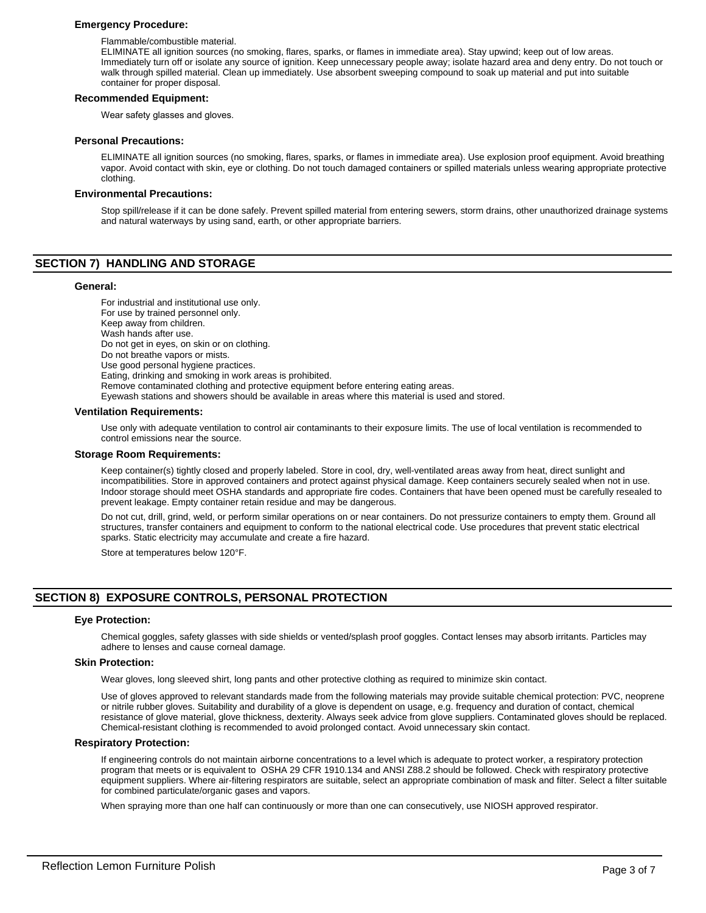## **Emergency Procedure:**

Flammable/combustible material.

ELIMINATE all ignition sources (no smoking, flares, sparks, or flames in immediate area). Stay upwind; keep out of low areas. Immediately turn off or isolate any source of ignition. Keep unnecessary people away; isolate hazard area and deny entry. Do not touch or walk through spilled material. Clean up immediately. Use absorbent sweeping compound to soak up material and put into suitable container for proper disposal.

## **Recommended Equipment:**

Wear safety glasses and gloves.

#### **Personal Precautions:**

ELIMINATE all ignition sources (no smoking, flares, sparks, or flames in immediate area). Use explosion proof equipment. Avoid breathing vapor. Avoid contact with skin, eye or clothing. Do not touch damaged containers or spilled materials unless wearing appropriate protective clothing.

## **Environmental Precautions:**

Stop spill/release if it can be done safely. Prevent spilled material from entering sewers, storm drains, other unauthorized drainage systems and natural waterways by using sand, earth, or other appropriate barriers.

## **SECTION 7) HANDLING AND STORAGE**

#### **General:**

For industrial and institutional use only. For use by trained personnel only. Keep away from children. Wash hands after use. Do not get in eyes, on skin or on clothing. Do not breathe vapors or mists. Use good personal hygiene practices. Eating, drinking and smoking in work areas is prohibited. Remove contaminated clothing and protective equipment before entering eating areas. Eyewash stations and showers should be available in areas where this material is used and stored.

#### **Ventilation Requirements:**

Use only with adequate ventilation to control air contaminants to their exposure limits. The use of local ventilation is recommended to control emissions near the source.

#### **Storage Room Requirements:**

Keep container(s) tightly closed and properly labeled. Store in cool, dry, well-ventilated areas away from heat, direct sunlight and incompatibilities. Store in approved containers and protect against physical damage. Keep containers securely sealed when not in use. Indoor storage should meet OSHA standards and appropriate fire codes. Containers that have been opened must be carefully resealed to prevent leakage. Empty container retain residue and may be dangerous.

Do not cut, drill, grind, weld, or perform similar operations on or near containers. Do not pressurize containers to empty them. Ground all structures, transfer containers and equipment to conform to the national electrical code. Use procedures that prevent static electrical sparks. Static electricity may accumulate and create a fire hazard.

Store at temperatures below 120°F.

## **SECTION 8) EXPOSURE CONTROLS, PERSONAL PROTECTION**

## **Eye Protection:**

Chemical goggles, safety glasses with side shields or vented/splash proof goggles. Contact lenses may absorb irritants. Particles may adhere to lenses and cause corneal damage.

#### **Skin Protection:**

Wear gloves, long sleeved shirt, long pants and other protective clothing as required to minimize skin contact.

Use of gloves approved to relevant standards made from the following materials may provide suitable chemical protection: PVC, neoprene or nitrile rubber gloves. Suitability and durability of a glove is dependent on usage, e.g. frequency and duration of contact, chemical resistance of glove material, glove thickness, dexterity. Always seek advice from glove suppliers. Contaminated gloves should be replaced. Chemical-resistant clothing is recommended to avoid prolonged contact. Avoid unnecessary skin contact.

#### **Respiratory Protection:**

If engineering controls do not maintain airborne concentrations to a level which is adequate to protect worker, a respiratory protection program that meets or is equivalent to OSHA 29 CFR 1910.134 and ANSI Z88.2 should be followed. Check with respiratory protective equipment suppliers. Where air-filtering respirators are suitable, select an appropriate combination of mask and filter. Select a filter suitable for combined particulate/organic gases and vapors.

When spraying more than one half can continuously or more than one can consecutively, use NIOSH approved respirator.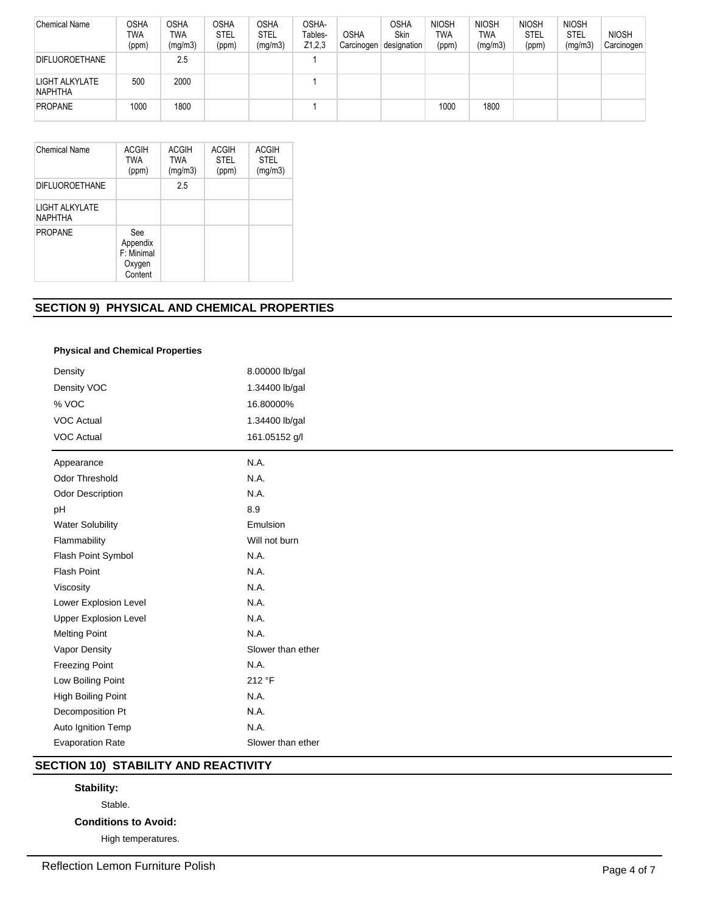| <b>Chemical Name</b>             | <b>OSHA</b><br>TWA<br>(ppm) | OSHA<br><b>TWA</b><br>(mg/m3) | <b>OSHA</b><br><b>STEL</b><br>(ppm) | <b>OSHA</b><br><b>STEL</b><br>(mg/m3) | OSHA-<br>Tables-<br>Z1,2,3 | <b>OSHA</b><br>Carcinogen | OSHA<br>Skin<br>designation | <b>NIOSH</b><br>TWA<br>(ppm) | <b>NIOSH</b><br>TWA<br>(mg/m3) | <b>NIOSH</b><br><b>STEL</b><br>(ppm) | <b>NIOSH</b><br>STEL<br>(mg/m3) | <b>NIOSH</b><br>Carcinogen |
|----------------------------------|-----------------------------|-------------------------------|-------------------------------------|---------------------------------------|----------------------------|---------------------------|-----------------------------|------------------------------|--------------------------------|--------------------------------------|---------------------------------|----------------------------|
| <b>DIFLUOROETHANE</b>            |                             | 2.5                           |                                     |                                       |                            |                           |                             |                              |                                |                                      |                                 |                            |
| LIGHT ALKYLATE<br><b>NAPHTHA</b> | 500                         | 2000                          |                                     |                                       |                            |                           |                             |                              |                                |                                      |                                 |                            |
| <b>PROPANE</b>                   | 1000                        | 1800                          |                                     |                                       |                            |                           |                             | 1000                         | 1800                           |                                      |                                 |                            |

| Chemical Name                    | <b>ACGIH</b><br><b>TWA</b><br>(ppm)                | <b>ACGIH</b><br><b>TWA</b><br>(mg/m3) | <b>ACGIH</b><br><b>STEL</b><br>(ppm) | <b>ACGIH</b><br><b>STEL</b><br>(mg/m3) |
|----------------------------------|----------------------------------------------------|---------------------------------------|--------------------------------------|----------------------------------------|
| <b>DIFLUOROETHANE</b>            |                                                    | 2.5                                   |                                      |                                        |
| LIGHT ALKYLATE<br><b>NAPHTHA</b> |                                                    |                                       |                                      |                                        |
| <b>PROPANE</b>                   | See<br>Appendix<br>F: Minimal<br>Oxygen<br>Content |                                       |                                      |                                        |

## **SECTION 9) PHYSICAL AND CHEMICAL PROPERTIES**

## **Physical and Chemical Properties**

| Density                      | 8.00000 lb/gal    |
|------------------------------|-------------------|
| Density VOC                  | 1.34400 lb/gal    |
| % VOC                        | 16.80000%         |
| <b>VOC Actual</b>            | 1.34400 lb/gal    |
| <b>VOC Actual</b>            | 161.05152 g/l     |
| Appearance                   | N.A.              |
| Odor Threshold               | N.A.              |
| <b>Odor Description</b>      | N.A.              |
| pH                           | 8.9               |
| <b>Water Solubility</b>      | Emulsion          |
| Flammability                 | Will not burn     |
| Flash Point Symbol           | N.A.              |
| <b>Flash Point</b>           | N.A.              |
| Viscosity                    | N.A.              |
| Lower Explosion Level        | N.A.              |
| <b>Upper Explosion Level</b> | N.A.              |
| <b>Melting Point</b>         | N.A.              |
| Vapor Density                | Slower than ether |
| Freezing Point               | N.A.              |
| Low Boiling Point            | 212 °F            |
| High Boiling Point           | N.A.              |
| Decomposition Pt             | N.A.              |
| Auto Ignition Temp           | N.A.              |
| <b>Evaporation Rate</b>      | Slower than ether |

# **SECTION 10) STABILITY AND REACTIVITY**

## **Stability:**

Stable.

## **Conditions to Avoid:**

High temperatures.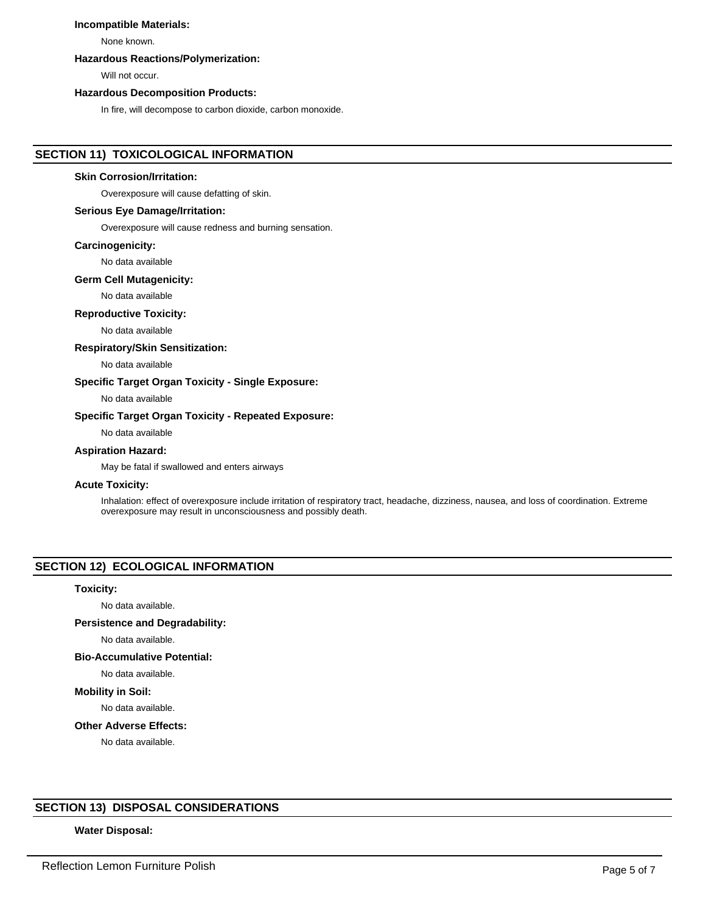## **Incompatible Materials:**

None known.

## **Hazardous Reactions/Polymerization:**

Will not occur.

#### **Hazardous Decomposition Products:**

In fire, will decompose to carbon dioxide, carbon monoxide.

## **SECTION 11) TOXICOLOGICAL INFORMATION**

#### **Skin Corrosion/Irritation:**

Overexposure will cause defatting of skin.

## **Serious Eye Damage/Irritation:**

Overexposure will cause redness and burning sensation.

## **Carcinogenicity:**

No data available

#### **Germ Cell Mutagenicity:**

No data available

## **Reproductive Toxicity:**

No data available

## **Respiratory/Skin Sensitization:**

No data available

## **Specific Target Organ Toxicity - Single Exposure:**

No data available

## **Specific Target Organ Toxicity - Repeated Exposure:**

No data available

## **Aspiration Hazard:**

May be fatal if swallowed and enters airways

## **Acute Toxicity:**

Inhalation: effect of overexposure include irritation of respiratory tract, headache, dizziness, nausea, and loss of coordination. Extreme overexposure may result in unconsciousness and possibly death.

## **SECTION 12) ECOLOGICAL INFORMATION**

#### **Toxicity:**

No data available.

#### **Persistence and Degradability:**

No data available.

## **Bio-Accumulative Potential:**

No data available.

## **Mobility in Soil:**

No data available.

## **Other Adverse Effects:**

No data available.

## **SECTION 13) DISPOSAL CONSIDERATIONS**

## **Water Disposal:**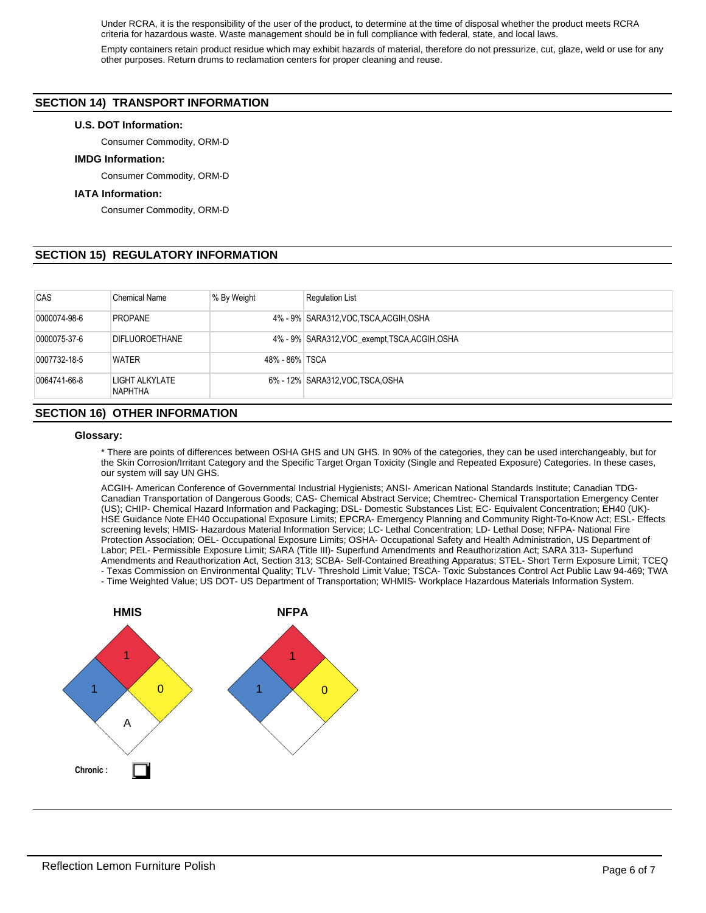Under RCRA, it is the responsibility of the user of the product, to determine at the time of disposal whether the product meets RCRA criteria for hazardous waste. Waste management should be in full compliance with federal, state, and local laws.

Empty containers retain product residue which may exhibit hazards of material, therefore do not pressurize, cut, glaze, weld or use for any other purposes. Return drums to reclamation centers for proper cleaning and reuse.

## **SECTION 14) TRANSPORT INFORMATION**

## **U.S. DOT Information:**

Consumer Commodity, ORM-D

## **IMDG Information:**

Consumer Commodity, ORM-D

## **IATA Information:**

Consumer Commodity, ORM-D

## **SECTION 15) REGULATORY INFORMATION**

| CAS          | <b>Chemical Name</b>                 | % By Weight    | <b>Regulation List</b>                         |
|--------------|--------------------------------------|----------------|------------------------------------------------|
| 0000074-98-6 | <b>PROPANE</b>                       |                | 4% - 9% SARA312, VOC, TSCA, ACGIH, OSHA        |
| 0000075-37-6 | DIFLUOROETHANE                       |                | 4% - 9% SARA312, VOC exempt, TSCA, ACGIH, OSHA |
| 0007732-18-5 | <b>WATER</b>                         | 48% - 86% TSCA |                                                |
| 0064741-66-8 | LIGHT ALKYLATE<br>NAPHTHA            |                | 6% - 12% SARA312, VOC. TSCA, OSHA              |
|              | <b>SECTION 16) OTHER INFORMATION</b> |                |                                                |

# **Glossary:**

\* There are points of differences between OSHA GHS and UN GHS. In 90% of the categories, they can be used interchangeably, but for the Skin Corrosion/Irritant Category and the Specific Target Organ Toxicity (Single and Repeated Exposure) Categories. In these cases, our system will say UN GHS.

ACGIH- American Conference of Governmental Industrial Hygienists; ANSI- American National Standards Institute; Canadian TDG-Canadian Transportation of Dangerous Goods; CAS- Chemical Abstract Service; Chemtrec- Chemical Transportation Emergency Center (US); CHIP- Chemical Hazard Information and Packaging; DSL- Domestic Substances List; EC- Equivalent Concentration; EH40 (UK)- HSE Guidance Note EH40 Occupational Exposure Limits; EPCRA- Emergency Planning and Community Right-To-Know Act; ESL- Effects screening levels; HMIS- Hazardous Material Information Service; LC- Lethal Concentration; LD- Lethal Dose; NFPA- National Fire Protection Association; OEL- Occupational Exposure Limits; OSHA- Occupational Safety and Health Administration, US Department of Labor; PEL- Permissible Exposure Limit; SARA (Title III)- Superfund Amendments and Reauthorization Act; SARA 313- Superfund Amendments and Reauthorization Act, Section 313; SCBA- Self-Contained Breathing Apparatus; STEL- Short Term Exposure Limit; TCEQ - Texas Commission on Environmental Quality; TLV- Threshold Limit Value; TSCA- Toxic Substances Control Act Public Law 94-469; TWA

- Time Weighted Value; US DOT- US Department of Transportation; WHMIS- Workplace Hazardous Materials Information System.